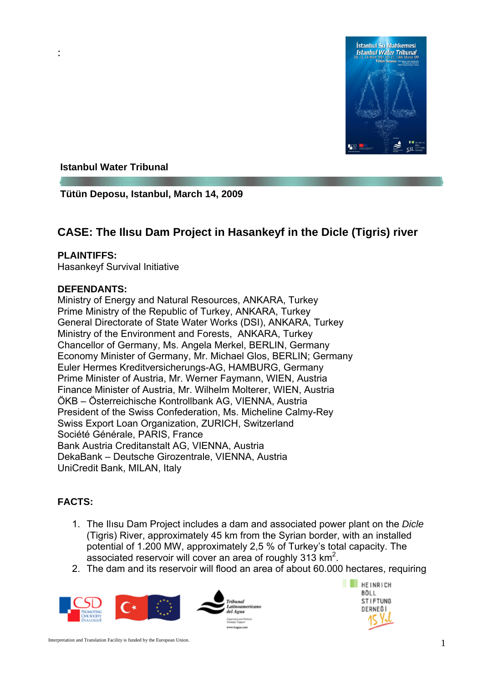

### **Istanbul Water Tribunal**

**Tütün Deposu, Istanbul, March 14, 2009** 

# **CASE: The Ilısu Dam Project in Hasankeyf in the Dicle (Tigris) river**

#### **PLAINTIFFS:**

:

Hasankeyf Survival Initiative

#### **DEFENDANTS:**

Ministry of Energy and Natural Resources, ANKARA, Turkey Prime Ministry of the Republic of Turkey, ANKARA, Turkey General Directorate of State Water Works (DSI), ANKARA, Turkey Ministry of the Environment and Forests, ANKARA, Turkey Chancellor of Germany, Ms. Angela Merkel, BERLIN, Germany Economy Minister of Germany, Mr. Michael Glos, BERLIN; Germany Euler Hermes Kreditversicherungs-AG, HAMBURG, Germany Prime Minister of Austria, Mr. Werner Faymann, WIEN, Austria Finance Minister of Austria, Mr. Wilhelm Molterer, WIEN, Austria ÖKB – Österreichische Kontrollbank AG, VIENNA, Austria President of the Swiss Confederation, Ms. Micheline Calmy-Rey Swiss Export Loan Organization, ZURICH, Switzerland Société Générale, PARIS, France Bank Austria Creditanstalt AG, VIENNA, Austria DekaBank – Deutsche Girozentrale, VIENNA, Austria UniCredit Bank, MILAN, Italy

# **FACTS:**

- 1. The Ilısu Dam Project includes a dam and associated power plant on the *Dicle* (Tigris) River, approximately 45 km from the Syrian border, with an installed potential of 1.200 MW, approximately 2,5 % of Turkey's total capacity. The associated reservoir will cover an area of roughly 313  $\text{km}^2$ .
- 2. The dam and its reservoir will flood an area of about 60.000 hectares, requiring



**FEINRICH BÖLL STIFTUNG** DERNEĞİ

Interpretation and Translation Facility is funded by the European Union. 1 1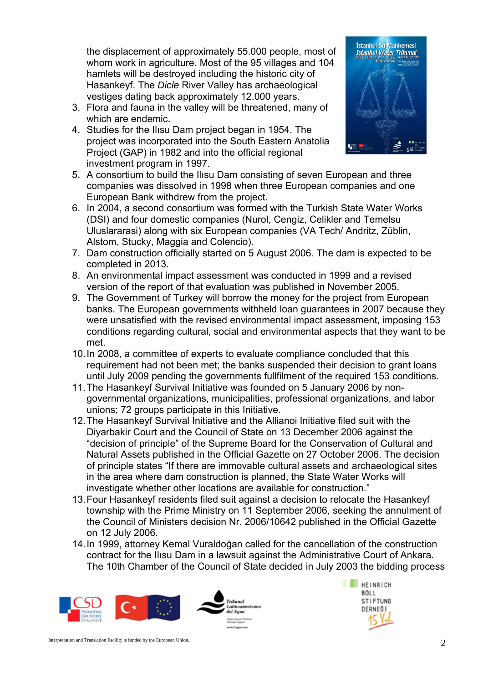the displacement of approximately 55.000 people, most of whom work in agriculture. Most of the 95 villages and 104 hamlets will be destroyed including the historic city of Hasankeyf. The *Dicle* River Valley has archaeological vestiges dating back approximately 12.000 years.

- 3. Flora and fauna in the valley will be threatened, many of which are endemic.
- 4. Studies for the Ilısu Dam project began in 1954. The project was incorporated into the South Eastern Anatolia Project (GAP) in 1982 and into the official regional investment program in 1997.



- 5. A consortium to build the Ilısu Dam consisting of seven European and three companies was dissolved in 1998 when three European companies and one European Bank withdrew from the project.
- 6. In 2004, a second consortium was formed with the Turkish State Water Works (DSI) and four domestic companies (Nurol, Cengiz, Celikler and Temelsu Uluslararasi) along with six European companies (VA Tech/ Andritz, Züblin, Alstom, Stucky, Maggia and Colencio).
- 7. Dam construction officially started on 5 August 2006. The dam is expected to be completed in 2013.
- 8. An environmental impact assessment was conducted in 1999 and a revised version of the report of that evaluation was published in November 2005.
- 9. The Government of Turkey will borrow the money for the project from European banks. The European governments withheld loan guarantees in 2007 because they were unsatisfied with the revised environmental impact assessment, imposing 153 conditions regarding cultural, social and environmental aspects that they want to be met.
- 10. In 2008, a committee of experts to evaluate compliance concluded that this requirement had not been met; the banks suspended their decision to grant loans until July 2009 pending the governments fullfilment of the required 153 conditions.
- 11. The Hasankeyf Survival Initiative was founded on 5 January 2006 by nongovernmental organizations, municipalities, professional organizations, and labor unions; 72 groups participate in this Initiative.
- 12. The Hasankeyf Survival Initiative and the Allianoi Initiative filed suit with the Diyarbakir Court and the Council of State on 13 December 2006 against the "decision of principle" of the Supreme Board for the Conservation of Cultural and Natural Assets published in the Official Gazette on 27 October 2006. The decision of principle states "If there are immovable cultural assets and archaeological sites in the area where dam construction is planned, the State Water Works will investigate whether other locations are available for construction."
- 13. Four Hasankeyf residents filed suit against a decision to relocate the Hasankeyf township with the Prime Ministry on 11 September 2006, seeking the annulment of the Council of Ministers decision Nr. 2006/10642 published in the Official Gazette on 12 July 2006.
- 14. In 1999, attorney Kemal Vuraldoğan called for the cancellation of the construction contract for the Ilısu Dam in a lawsuit against the Administrative Court of Ankara. The 10th Chamber of the Council of State decided in July 2003 the bidding process



**FEINRICH** BÖLL **STIFTUNG** DERNEĞİ

Interpretation and Translation Facility is funded by the European Union.  $2^{2}$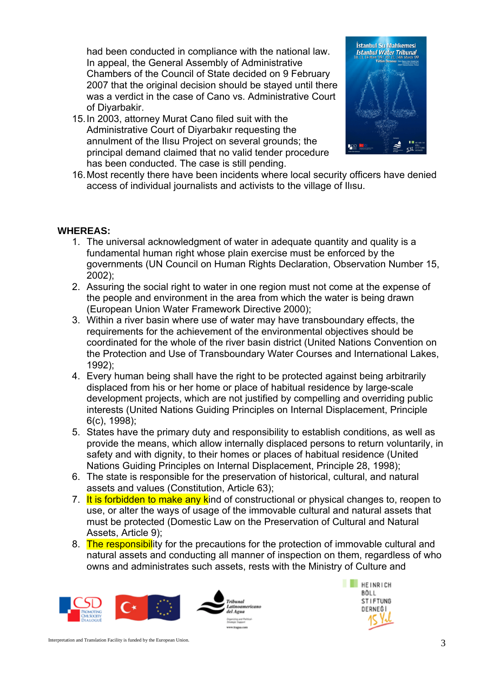had been conducted in compliance with the national law. In appeal, the General Assembly of Administrative Chambers of the Council of State decided on 9 February 2007 that the original decision should be staved until there was a verdict in the case of Cano vs. Administrative Court of Diyarbakir.

15. In 2003, attorney Murat Cano filed suit with the Administrative Court of Diyarbakır requesting the annulment of the Ilısu Project on several grounds; the principal demand claimed that no valid tender procedure has been conducted. The case is still pending.



16. Most recently there have been incidents where local security officers have denied access of individual journalists and activists to the village of Ilısu.

## **WHEREAS:**

- 1. The universal acknowledgment of water in adequate quantity and quality is a fundamental human right whose plain exercise must be enforced by the governments (UN Council on Human Rights Declaration, Observation Number 15, 2002);
- 2. Assuring the social right to water in one region must not come at the expense of the people and environment in the area from which the water is being drawn (European Union Water Framework Directive 2000);
- 3. Within a river basin where use of water may have transboundary effects, the requirements for the achievement of the environmental objectives should be coordinated for the whole of the river basin district (United Nations Convention on the Protection and Use of Transboundary Water Courses and International Lakes, 1992);
- 4. Every human being shall have the right to be protected against being arbitrarily displaced from his or her home or place of habitual residence by large-scale development projects, which are not justified by compelling and overriding public interests (United Nations Guiding Principles on Internal Displacement, Principle 6(c), 1998);
- 5. States have the primary duty and responsibility to establish conditions, as well as provide the means, which allow internally displaced persons to return voluntarily, in safety and with dignity, to their homes or places of habitual residence (United Nations Guiding Principles on Internal Displacement, Principle 28, 1998);
- 6. The state is responsible for the preservation of historical, cultural, and natural assets and values (Constitution, Article 63);
- 7. It is forbidden to make any kind of constructional or physical changes to, reopen to use, or alter the ways of usage of the immovable cultural and natural assets that must be protected (Domestic Law on the Preservation of Cultural and Natural Assets, Article 9);
- 8. The responsibility for the precautions for the protection of immovable cultural and natural assets and conducting all manner of inspection on them, regardless of who owns and administrates such assets, rests with the Ministry of Culture and



**FEINRICH** BÖLL **STIFTUNG** DERNEĞİ

Interpretation and Translation Facility is funded by the European Union.  $3^{3}$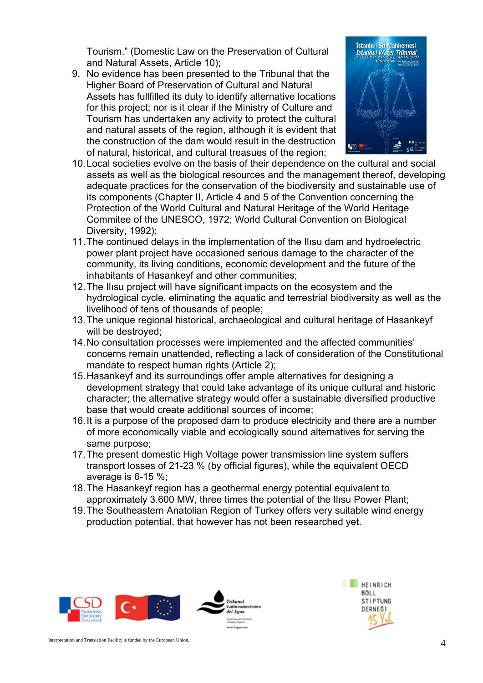Tourism." (Domestic Law on the Preservation of Cultural and Natural Assets, Article 10);

9. No evidence has been presented to the Tribunal that the Higher Board of Preservation of Cultural and Natural Assets has fullfilled its duty to identify alternative locations for this project; nor is it clear if the Ministry of Culture and Tourism has undertaken any activity to protect the cultural and natural assets of the region, although it is evident that the construction of the dam would result in the destruction of natural, historical, and cultural treasues of the region;



- 10. Local societies evolve on the basis of their dependence on the cultural and social assets as well as the biological resources and the management thereof, developing adequate practices for the conservation of the biodiversity and sustainable use of its components (Chapter II, Article 4 and 5 of the Convention concerning the Protection of the World Cultural and Natural Heritage of the World Heritage Commitee of the UNESCO, 1972; World Cultural Convention on Biological Diversity, 1992);
- 11. The continued delays in the implementation of the Ilısu dam and hydroelectric power plant project have occasioned serious damage to the character of the community, its living conditions, economic development and the future of the inhabitants of Hasankeyf and other communities;
- 12. The Ilısu project will have significant impacts on the ecosystem and the hydrological cycle, eliminating the aquatic and terrestrial biodiversity as well as the livelihood of tens of thousands of people;
- 13. The unique regional historical, archaeological and cultural heritage of Hasankeyf will be destroyed;
- 14. No consultation processes were implemented and the affected communities' concerns remain unattended, reflecting a lack of consideration of the Constitutional mandate to respect human rights (Article 2);
- 15. Hasankeyf and its surroundings offer ample alternatives for designing a development strategy that could take advantage of its unique cultural and historic character; the alternative strategy would offer a sustainable diversified productive base that would create additional sources of income;
- 16. It is a purpose of the proposed dam to produce electricity and there are a number of more economically viable and ecologically sound alternatives for serving the same purpose;
- 17. The present domestic High Voltage power transmission line system suffers transport losses of 21-23 % (by official figures), while the equivalent OECD average is 6-15 %;
- 18. The Hasankeyf region has a geothermal energy potential equivalent to approximately 3.600 MW, three times the potential of the Ilısu Power Plant;
- 19. The Southeastern Anatolian Region of Turkey offers very suitable wind energy production potential, that however has not been researched yet.

Tribunal del Agua **CA PERMIT COR** 



Interpretation and Translation Facility is funded by the European Union.  $4^{4}$